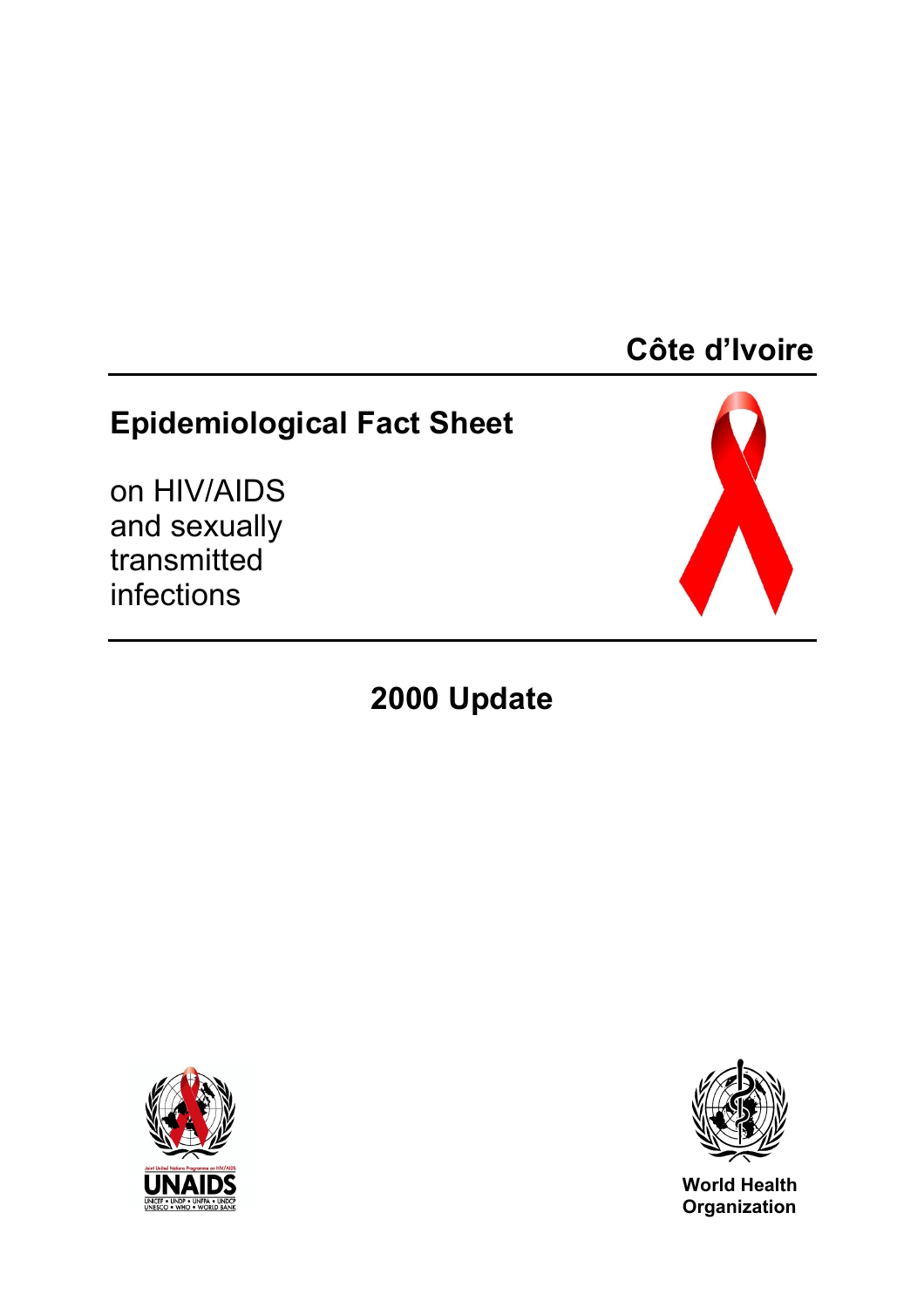# **Côte d'Ivoire**

# **Epidemiological Fact Sheet**

on HIV/AIDS and sexually transmitted infections



# **2000 Update**





**World Health Organization**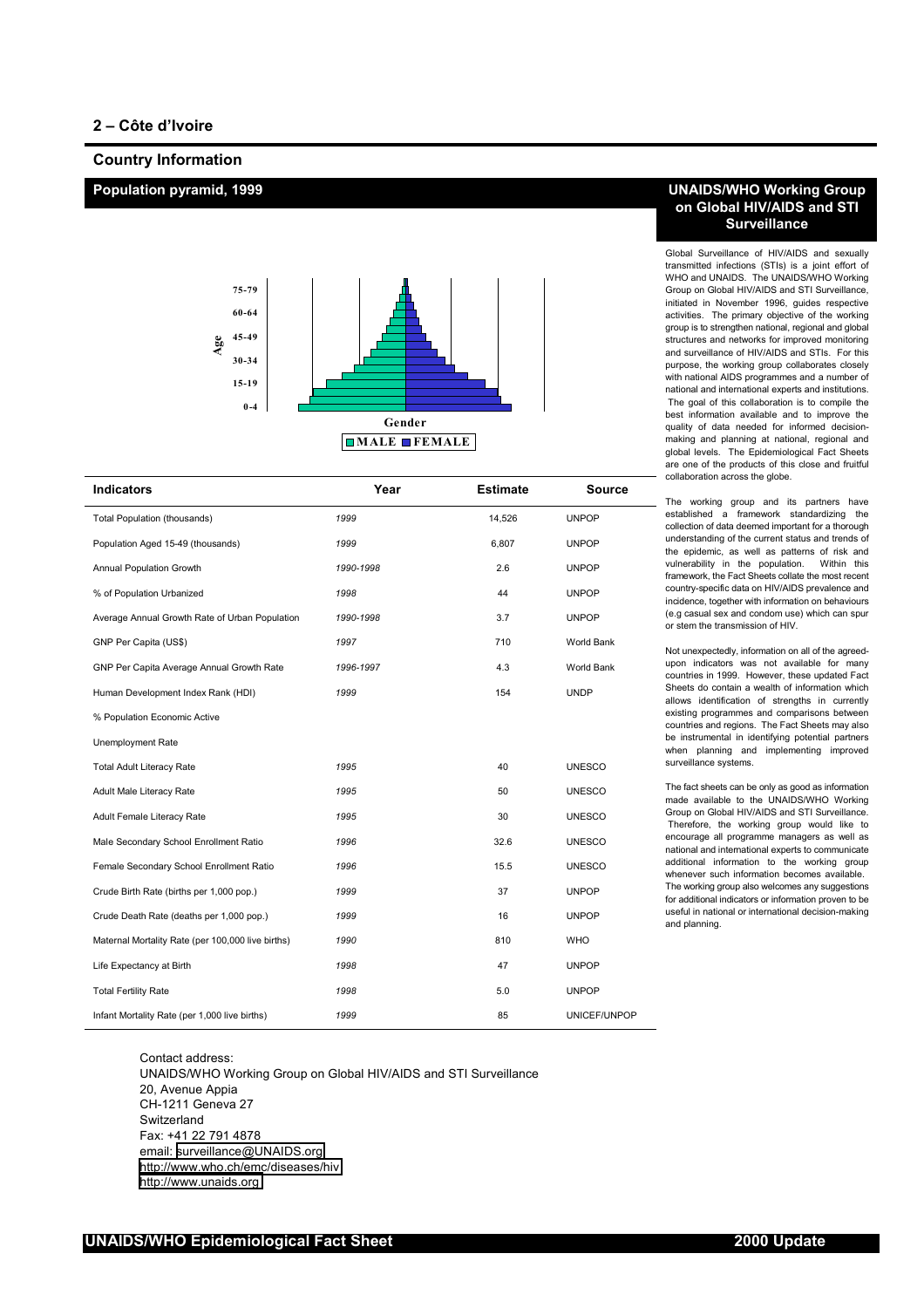### **Country Information**



| <b>Indicators</b>                                 | Year      | <b>Estimate</b> | <b>Source</b> |
|---------------------------------------------------|-----------|-----------------|---------------|
| Total Population (thousands)                      | 1999      | 14,526          | <b>UNPOP</b>  |
| Population Aged 15-49 (thousands)                 | 1999      | 6,807           | <b>UNPOP</b>  |
| Annual Population Growth                          | 1990-1998 | 2.6             | <b>UNPOP</b>  |
| % of Population Urbanized                         | 1998      | 44              | <b>UNPOP</b>  |
| Average Annual Growth Rate of Urban Population    | 1990-1998 | 3.7             | <b>UNPOP</b>  |
| GNP Per Capita (US\$)                             | 1997      | 710             | World Bank    |
| GNP Per Capita Average Annual Growth Rate         | 1996-1997 | 4.3             | World Bank    |
| Human Development Index Rank (HDI)                | 1999      | 154             | <b>UNDP</b>   |
| % Population Economic Active                      |           |                 |               |
| Unemployment Rate                                 |           |                 |               |
| <b>Total Adult Literacy Rate</b>                  | 1995      | 40              | <b>UNESCO</b> |
| Adult Male Literacy Rate                          | 1995      | 50              | <b>UNESCO</b> |
| Adult Female Literacy Rate                        | 1995      | 30              | <b>UNESCO</b> |
| Male Secondary School Enrollment Ratio            | 1996      | 32.6            | <b>UNESCO</b> |
| Female Secondary School Enrollment Ratio          | 1996      | 15.5            | <b>UNESCO</b> |
| Crude Birth Rate (births per 1,000 pop.)          | 1999      | 37              | <b>UNPOP</b>  |
| Crude Death Rate (deaths per 1,000 pop.)          | 1999      | 16              | <b>UNPOP</b>  |
| Maternal Mortality Rate (per 100,000 live births) | 1990      | 810             | <b>WHO</b>    |
| Life Expectancy at Birth                          | 1998      | 47              | <b>UNPOP</b>  |
| <b>Total Fertility Rate</b>                       | 1998      | 5.0             | <b>UNPOP</b>  |
| Infant Mortality Rate (per 1,000 live births)     | 1999      | 85              | UNICEF/UNPOP  |

Contact address: UNAIDS/WHO Working Group on Global HIV/AIDS and STI Surveillance 20, Avenue Appia CH-1211 Geneva 27 **Switzerland** Fax: +41 22 791 4878 email: [surveillance@UNAIDS.org](mailto:surveillance@UNAIDS.org) <http://www.who.ch/emc/diseases/hiv> [http://www.unaids.org](http://www.unaids.org/)

# **Population pyramid, 1999 UNAIDS/WHO Working Group on Global HIV/AIDS and STI Surveillance**

Global Surveillance of HIV/AIDS and sexually transmitted infections (STIs) is a joint effort of WHO and UNAIDS. The UNAIDS/WHO Working Group on Global HIV/AIDS and STI Surveillance, initiated in November 1996, guides respective activities. The primary objective of the working group is to strengthen national, regional and global structures and networks for improved monitoring and surveillance of HIV/AIDS and STIs. For this purpose, the working group collaborates closely with national AIDS programmes and a number of national and international experts and institutions. The goal of this collaboration is to compile the best information available and to improve the quality of data needed for informed decisionmaking and planning at national, regional and global levels. The Epidemiological Fact Sheets are one of the products of this close and fruitful collaboration across the globe.

The working group and its partners have established a framework standardizing the collection of data deemed important for a thorough understanding of the current status and trends of the epidemic, as well as patterns of risk and vulnerability in the population. Within this framework, the Fact Sheets collate the most recent country-specific data on HIV/AIDS prevalence and incidence, together with information on behaviours (e.g casual sex and condom use) which can spur or stem the transmission of HIV.

Not unexpectedly, information on all of the agreedupon indicators was not available for many countries in 1999. However, these updated Fact Sheets do contain a wealth of information which allows identification of strengths in currently existing programmes and comparisons between countries and regions. The Fact Sheets may also be instrumental in identifying potential partners when planning and implementing improved surveillance systems.

The fact sheets can be only as good as information made available to the UNAIDS/WHO Working Group on Global HIV/AIDS and STI Surveillance. Therefore, the working group would like to encourage all programme managers as well as national and international experts to communicate additional information to the working group whenever such information becomes available. The working group also welcomes any suggestions for additional indicators or information proven to be useful in national or international decision-making and planning.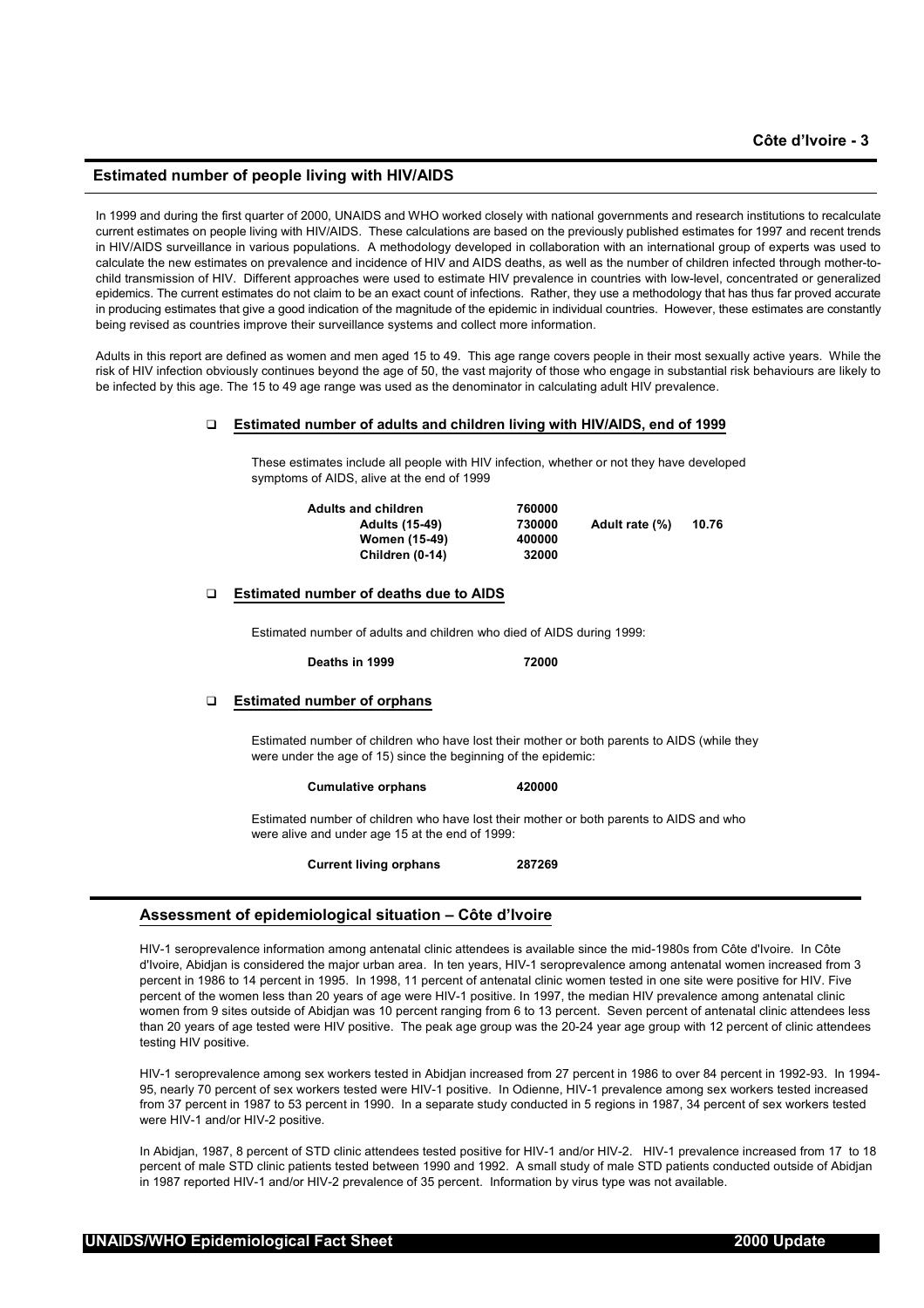# **Estimated number of people living with HIV/AIDS**

In 1999 and during the first quarter of 2000, UNAIDS and WHO worked closely with national governments and research institutions to recalculate current estimates on people living with HIV/AIDS. These calculations are based on the previously published estimates for 1997 and recent trends in HIV/AIDS surveillance in various populations. A methodology developed in collaboration with an international group of experts was used to calculate the new estimates on prevalence and incidence of HIV and AIDS deaths, as well as the number of children infected through mother-tochild transmission of HIV. Different approaches were used to estimate HIV prevalence in countries with low-level, concentrated or generalized epidemics. The current estimates do not claim to be an exact count of infections. Rather, they use a methodology that has thus far proved accurate in producing estimates that give a good indication of the magnitude of the epidemic in individual countries. However, these estimates are constantly being revised as countries improve their surveillance systems and collect more information.

Adults in this report are defined as women and men aged 15 to 49. This age range covers people in their most sexually active years. While the risk of HIV infection obviously continues beyond the age of 50, the vast majority of those who engage in substantial risk behaviours are likely to be infected by this age. The 15 to 49 age range was used as the denominator in calculating adult HIV prevalence.

#### **Estimated number of adults and children living with HIV/AIDS, end of 1999**

These estimates include all people with HIV infection, whether or not they have developed symptoms of AIDS, alive at the end of 1999

| <b>Adults and children</b> | 760000 |                |       |
|----------------------------|--------|----------------|-------|
| <b>Adults (15-49)</b>      | 730000 | Adult rate (%) | 10.76 |
| <b>Women (15-49)</b>       | 400000 |                |       |
| Children (0-14)            | 32000  |                |       |

# **Estimated number of deaths due to AIDS**

Estimated number of adults and children who died of AIDS during 1999:

**Deaths in 1999 72000** 

#### **Estimated number of orphans**

Estimated number of children who have lost their mother or both parents to AIDS (while they were under the age of 15) since the beginning of the epidemic:

#### **Cumulative orphans 420000**

Estimated number of children who have lost their mother or both parents to AIDS and who were alive and under age 15 at the end of 1999:

**Current living orphans 287269**

# **Assessment of epidemiological situation – Côte d'Ivoire**

HIV-1 seroprevalence information among antenatal clinic attendees is available since the mid-1980s from Côte d'Ivoire. In Côte d'Ivoire, Abidjan is considered the major urban area. In ten years, HIV-1 seroprevalence among antenatal women increased from 3 percent in 1986 to 14 percent in 1995. In 1998, 11 percent of antenatal clinic women tested in one site were positive for HIV. Five percent of the women less than 20 years of age were HIV-1 positive. In 1997, the median HIV prevalence among antenatal clinic women from 9 sites outside of Abidjan was 10 percent ranging from 6 to 13 percent. Seven percent of antenatal clinic attendees less than 20 years of age tested were HIV positive. The peak age group was the 20-24 year age group with 12 percent of clinic attendees testing HIV positive.

HIV-1 seroprevalence among sex workers tested in Abidjan increased from 27 percent in 1986 to over 84 percent in 1992-93. In 1994- 95, nearly 70 percent of sex workers tested were HIV-1 positive. In Odienne, HIV-1 prevalence among sex workers tested increased from 37 percent in 1987 to 53 percent in 1990. In a separate study conducted in 5 regions in 1987, 34 percent of sex workers tested were HIV-1 and/or HIV-2 positive.

In Abidjan, 1987, 8 percent of STD clinic attendees tested positive for HIV-1 and/or HIV-2. HIV-1 prevalence increased from 17 to 18 percent of male STD clinic patients tested between 1990 and 1992. A small study of male STD patients conducted outside of Abidjan in 1987 reported HIV-1 and/or HIV-2 prevalence of 35 percent. Information by virus type was not available.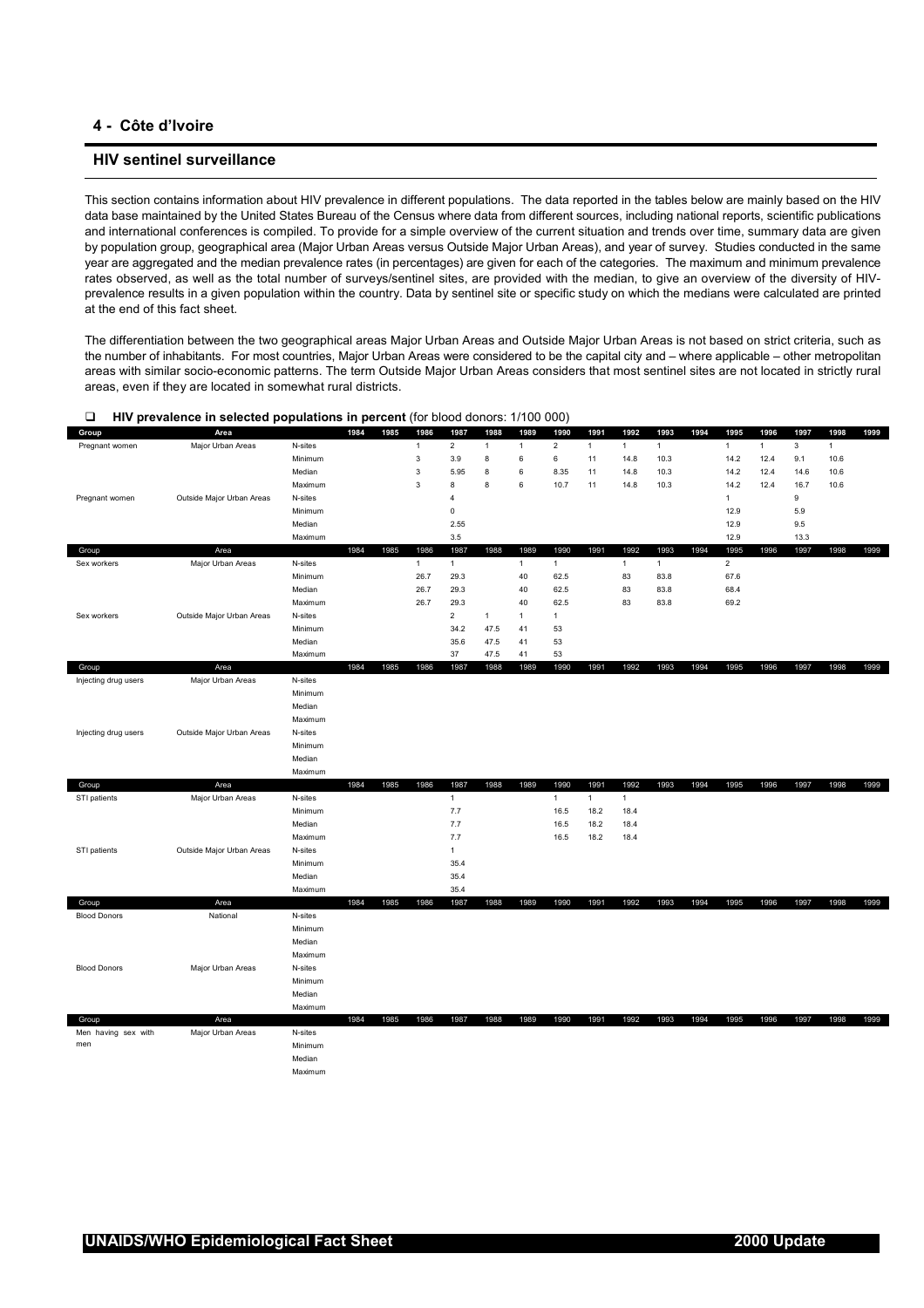# **4 - Côte d'Ivoire**

# **HIV sentinel surveillance**

This section contains information about HIV prevalence in different populations. The data reported in the tables below are mainly based on the HIV data base maintained by the United States Bureau of the Census where data from different sources, including national reports, scientific publications and international conferences is compiled. To provide for a simple overview of the current situation and trends over time, summary data are given by population group, geographical area (Major Urban Areas versus Outside Major Urban Areas), and year of survey. Studies conducted in the same year are aggregated and the median prevalence rates (in percentages) are given for each of the categories. The maximum and minimum prevalence rates observed, as well as the total number of surveys/sentinel sites, are provided with the median, to give an overview of the diversity of HIVprevalence results in a given population within the country. Data by sentinel site or specific study on which the medians were calculated are printed at the end of this fact sheet.

The differentiation between the two geographical areas Major Urban Areas and Outside Major Urban Areas is not based on strict criteria, such as the number of inhabitants. For most countries, Major Urban Areas were considered to be the capital city and – where applicable – other metropolitan areas with similar socio-economic patterns. The term Outside Major Urban Areas considers that most sentinel sites are not located in strictly rural areas, even if they are located in somewhat rural districts.

| Group                | Area                      |         | 1984 | 1985 | 1986           | 1987           | 1988         | 1989           | 1990           | 1991         | 1992         | 1993         | 1994 | 1995           | 1996         | 1997 | 1998         | 1999 |
|----------------------|---------------------------|---------|------|------|----------------|----------------|--------------|----------------|----------------|--------------|--------------|--------------|------|----------------|--------------|------|--------------|------|
| Pregnant women       | Major Urban Areas         | N-sites |      |      | $\overline{1}$ | $\overline{2}$ | $\mathbf{1}$ | $\mathbf{1}$   | $\overline{c}$ | $\mathbf{1}$ | $\mathbf{1}$ | $\mathbf{1}$ |      | $\mathbf{1}$   | $\mathbf{1}$ | 3    | $\mathbf{1}$ |      |
|                      |                           | Minimum |      |      | $\mathsf 3$    | 3.9            | 8            | 6              | 6              | 11           | 14.8         | 10.3         |      | 14.2           | 12.4         | 9.1  | 10.6         |      |
|                      |                           | Median  |      |      | 3              | 5.95           | 8            | 6              | 8.35           | 11           | 14.8         | 10.3         |      | 14.2           | 12.4         | 14.6 | 10.6         |      |
|                      |                           | Maximum |      |      | $\mathsf 3$    | 8              | 8            | 6              | 10.7           | 11           | 14.8         | 10.3         |      | 14.2           | 12.4         | 16.7 | 10.6         |      |
| Pregnant women       | Outside Major Urban Areas | N-sites |      |      |                | $\overline{4}$ |              |                |                |              |              |              |      | $\mathbf{1}$   |              | 9    |              |      |
|                      |                           | Minimum |      |      |                | 0              |              |                |                |              |              |              |      | 12.9           |              | 5.9  |              |      |
|                      |                           | Median  |      |      |                | 2.55           |              |                |                |              |              |              |      | 12.9           |              | 9.5  |              |      |
|                      |                           | Maximum |      |      |                | 3.5            |              |                |                |              |              |              |      | 12.9           |              | 13.3 |              |      |
| Group                | Area                      |         | 1984 | 1985 | 1986           | 1987           | 1988         | 1989           | 1990           | 1991         | 1992         | 1993         | 1994 | 1995           | 1996         | 1997 | 1998         | 1999 |
| Sex workers          | Major Urban Areas         | N-sites |      |      | $\mathbf{1}$   | $\mathbf{1}$   |              | $\overline{1}$ | $\mathbf{1}$   |              | $\mathbf{1}$ | 1            |      | $\overline{2}$ |              |      |              |      |
|                      |                           | Minimum |      |      | 26.7           | 29.3           |              | 40             | 62.5           |              | 83           | 83.8         |      | 67.6           |              |      |              |      |
|                      |                           | Median  |      |      | 26.7           | 29.3           |              | 40             | 62.5           |              | 83           | 83.8         |      | 68.4           |              |      |              |      |
|                      |                           | Maximum |      |      | 26.7           | 29.3           |              | 40             | 62.5           |              | 83           | 83.8         |      | 69.2           |              |      |              |      |
| Sex workers          | Outside Major Urban Areas | N-sites |      |      |                | $\overline{2}$ | $\mathbf{1}$ | $\mathbf{1}$   | $\mathbf{1}$   |              |              |              |      |                |              |      |              |      |
|                      |                           | Minimum |      |      |                | 34.2           | 47.5         | 41             | 53             |              |              |              |      |                |              |      |              |      |
|                      |                           | Median  |      |      |                | 35.6           | 47.5         | 41             | 53             |              |              |              |      |                |              |      |              |      |
|                      |                           | Maximum |      |      |                | 37             | 47.5         | 41             | 53             |              |              |              |      |                |              |      |              |      |
| Group                | Area                      |         | 1984 | 1985 | 1986           | 1987           | 1988         | 1989           | 1990           | 1991         | 1992         | 1993         | 1994 | 1995           | 1996         | 1997 | 1998         | 1999 |
| Injecting drug users | Major Urban Areas         | N-sites |      |      |                |                |              |                |                |              |              |              |      |                |              |      |              |      |
|                      |                           | Minimum |      |      |                |                |              |                |                |              |              |              |      |                |              |      |              |      |
|                      |                           | Median  |      |      |                |                |              |                |                |              |              |              |      |                |              |      |              |      |
|                      |                           | Maximum |      |      |                |                |              |                |                |              |              |              |      |                |              |      |              |      |
| Injecting drug users | Outside Major Urban Areas | N-sites |      |      |                |                |              |                |                |              |              |              |      |                |              |      |              |      |
|                      |                           | Minimum |      |      |                |                |              |                |                |              |              |              |      |                |              |      |              |      |
|                      |                           | Median  |      |      |                |                |              |                |                |              |              |              |      |                |              |      |              |      |
|                      |                           | Maximum |      |      |                |                |              |                |                |              |              |              |      |                |              |      |              |      |
| Group                | Area                      |         | 1984 | 1985 | 1986           | 1987           | 1988         | 1989           | 1990           | 1991         | 1992         | 1993         | 1994 | 1995           | 1996         | 1997 | 1998         | 1999 |
| STI patients         | Major Urban Areas         | N-sites |      |      |                | $\mathbf{1}$   |              |                | $\mathbf{1}$   | $\mathbf{1}$ | 1            |              |      |                |              |      |              |      |
|                      |                           | Minimum |      |      |                | 7.7            |              |                | 16.5           | 18.2         | 18.4         |              |      |                |              |      |              |      |
|                      |                           | Median  |      |      |                | 7.7            |              |                | 16.5           | 18.2         | 18.4         |              |      |                |              |      |              |      |
|                      |                           | Maximum |      |      |                | 7.7            |              |                | 16.5           | 18.2         | 18.4         |              |      |                |              |      |              |      |
| STI patients         | Outside Major Urban Areas | N-sites |      |      |                | $\mathbf{1}$   |              |                |                |              |              |              |      |                |              |      |              |      |
|                      |                           | Minimum |      |      |                | 35.4           |              |                |                |              |              |              |      |                |              |      |              |      |
|                      |                           | Median  |      |      |                | 35.4           |              |                |                |              |              |              |      |                |              |      |              |      |
|                      |                           | Maximum |      |      |                | 35.4           |              |                |                |              |              |              |      |                |              |      |              |      |
| Group                | Area                      |         | 1984 | 1985 | 1986           | 1987           | 1988         | 1989           | 1990           | 1991         | 1992         | 1993         | 1994 | 1995           | 1996         | 1997 | 1998         | 1999 |
| <b>Blood Donors</b>  | National                  | N-sites |      |      |                |                |              |                |                |              |              |              |      |                |              |      |              |      |
|                      |                           | Minimum |      |      |                |                |              |                |                |              |              |              |      |                |              |      |              |      |
|                      |                           | Median  |      |      |                |                |              |                |                |              |              |              |      |                |              |      |              |      |
|                      |                           | Maximum |      |      |                |                |              |                |                |              |              |              |      |                |              |      |              |      |
| <b>Blood Donors</b>  | Major Urban Areas         | N-sites |      |      |                |                |              |                |                |              |              |              |      |                |              |      |              |      |
|                      |                           | Minimum |      |      |                |                |              |                |                |              |              |              |      |                |              |      |              |      |
|                      |                           | Median  |      |      |                |                |              |                |                |              |              |              |      |                |              |      |              |      |
|                      |                           | Maximum |      |      |                |                |              |                |                |              |              |              |      |                |              |      |              |      |
| Group                | Area                      |         | 1984 | 1985 | 1986           | 1987           | 1988         | 1989           | 1990           | 1991         | 1992         | 1993         | 1994 | 1995           | 1996         | 1997 | 1998         | 1999 |
| Men having sex with  | Major Urban Areas         | N-sites |      |      |                |                |              |                |                |              |              |              |      |                |              |      |              |      |
| men                  |                           | Minimum |      |      |                |                |              |                |                |              |              |              |      |                |              |      |              |      |
|                      |                           | Median  |      |      |                |                |              |                |                |              |              |              |      |                |              |      |              |      |
|                      |                           | Maximum |      |      |                |                |              |                |                |              |              |              |      |                |              |      |              |      |
|                      |                           |         |      |      |                |                |              |                |                |              |              |              |      |                |              |      |              |      |

#### **HIV prevalence in selected populations in percent** (for blood donors: 1/100 000)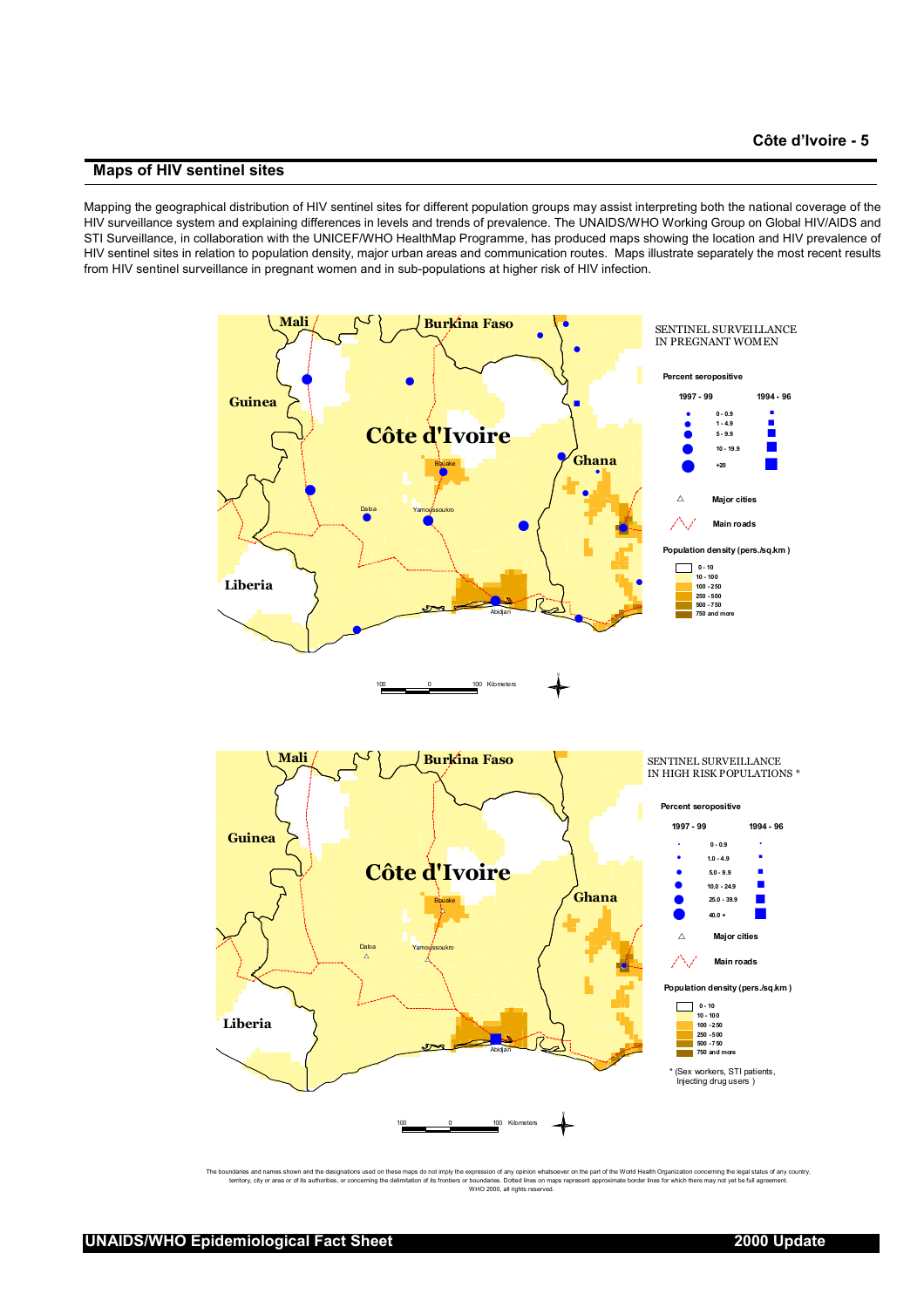## **Maps of HIV sentinel sites**

Mapping the geographical distribution of HIV sentinel sites for different population groups may assist interpreting both the national coverage of the HIV surveillance system and explaining differences in levels and trends of prevalence. The UNAIDS/WHO Working Group on Global HIV/AIDS and STI Surveillance, in collaboration with the UNICEF/WHO HealthMap Programme, has produced maps showing the location and HIV prevalence of HIV sentinel sites in relation to population density, major urban areas and communication routes. Maps illustrate separately the most recent results from HIV sentinel surveillance in pregnant women and in sub-populations at higher risk of HIV infection.



The boundaries and names shown and the designations used on become mass donot imposition of a propriation of a may be income to the propriation of the World Health Organization concerning the legal status of any county.<br>te expression of any opinion whatsoever c<br>r boundaries. Dotted lines on maps rep<br>WHO 2000, all rights reserved.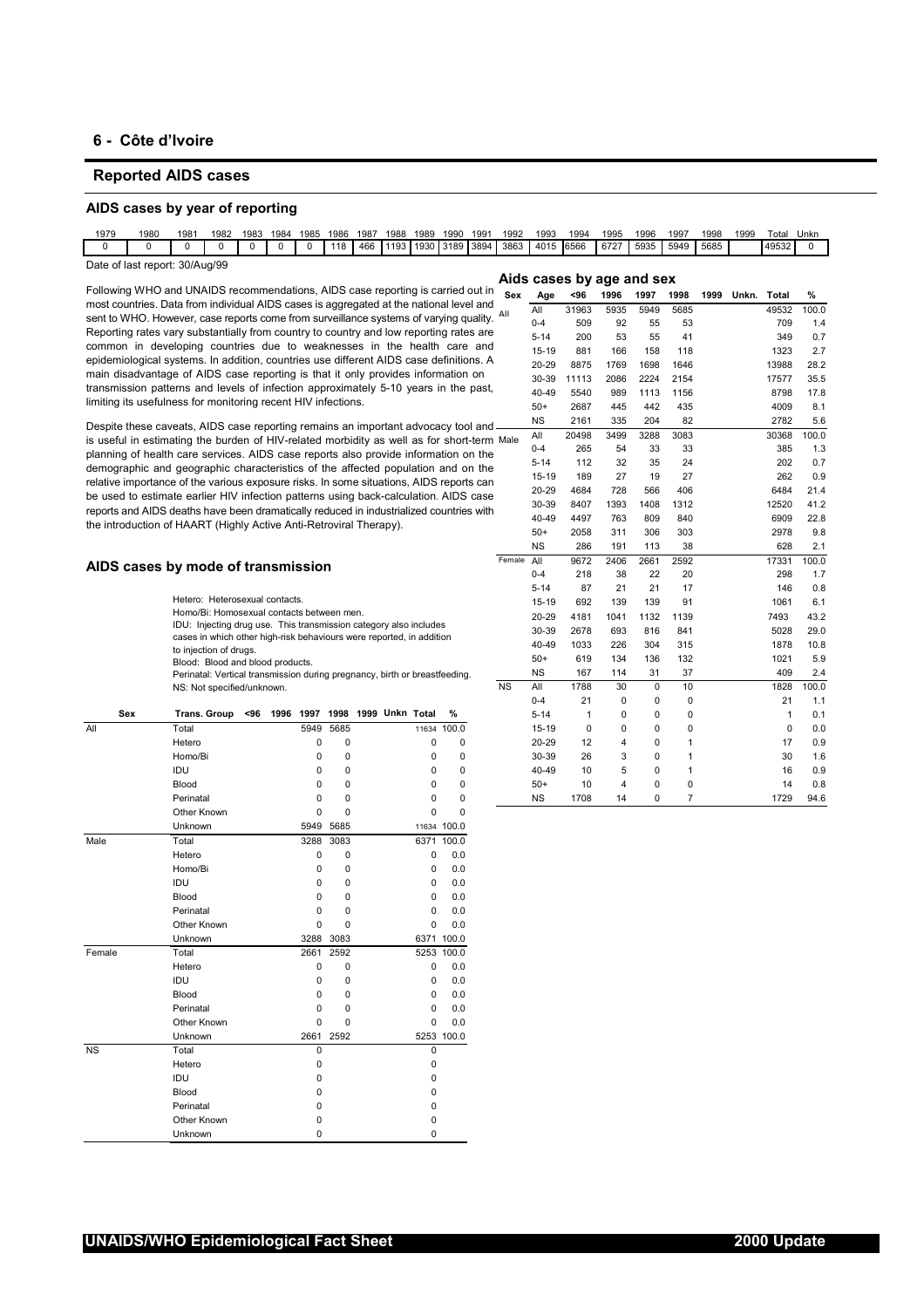# **6 - Côte d'Ivoire**

# **Reported AIDS cases**

#### **AIDS cases by year of reporting**

| 1979                           | 1980 | 1981 | 1982 | 1983 | 1984 | 1985 | 1986 | 1987 | 1988 | 1989 | 1990 | 1991 | 1992                               | 1993 | 1994 | 1995                      | 1996 | 1997 | 1998 | 1999 | Гоtal | Unkn |
|--------------------------------|------|------|------|------|------|------|------|------|------|------|------|------|------------------------------------|------|------|---------------------------|------|------|------|------|-------|------|
|                                |      |      |      |      |      |      | 118  | 466  |      |      |      |      | 1193 1930 3189 3894 3863 4015 6566 |      |      | 6727                      | 5935 | 5949 | 5685 |      | 49532 |      |
| Date of last report: 30/Aug/99 |      |      |      |      |      |      |      |      |      |      |      |      |                                    |      |      | Aids cases by age and sex |      |      |      |      |       |      |

Following WHO and UNAIDS recommendations, AIDS case reporting is carried out in most countries. Data from individual AIDS cases is aggregated at the national level and sent to WHO. However, case reports come from surveillance systems of varying quality Reporting rates vary substantially from country to country and low reporting rates an common in developing countries due to weaknesses in the health care and epidemiological systems. In addition, countries use different AIDS case definitions. A main disadvantage of AIDS case reporting is that it only provides information on transmission patterns and levels of infection approximately 5-10 years in the past limiting its usefulness for monitoring recent HIV infections.

Despite these caveats, AIDS case reporting remains an important advocacy tool and is useful in estimating the burden of HIV-related morbidity as well as for short-term planning of health care services. AIDS case reports also provide information on the demographic and geographic characteristics of the affected population and on the relative importance of the various exposure risks. In some situations, AIDS reports can be used to estimate earlier HIV infection patterns using back-calculation. AIDS case reports and AIDS deaths have been dramatically reduced in industrialized countries with the introduction of HAART (Highly Active Anti-Retroviral Therapy).

#### **AIDS cases by mode of transmission**

- Hetero: Heterosexual contacts.
- Homo/Bi: Homosexual contacts between men.
- IDU: Injecting drug use. This transmission category also includes cases in which other high-risk behaviours were reported, in addition to injection of drugs.
- Blood: Blood and blood products.
- Perinatal: Vertical transmission during pregnancy, birth or breastfeeding. NS: Not specified/unknown.

| Sex       | <b>Trans. Group</b> | <96 | 1996 | 1997     | 1998        | 1999 Unkn Total |              | ℅           |
|-----------|---------------------|-----|------|----------|-------------|-----------------|--------------|-------------|
| All       | Total               |     |      | 5949     | 5685        |                 |              | 11634 100.0 |
|           | Hetero              |     |      | $\Omega$ | $\Omega$    |                 | $\Omega$     | 0           |
|           | Homo/Bi             |     |      | 0        | $\Omega$    |                 | $\Omega$     | 0           |
|           | IDU                 |     |      | $\Omega$ | $\Omega$    |                 | 0            | 0           |
|           | Blood               |     |      | 0        | $\Omega$    |                 | 0            | 0           |
|           | Perinatal           |     |      | 0        | 0           |                 | U            | 0           |
|           | Other Known         |     |      | $\Omega$ | $\Omega$    |                 | $\Omega$     | $\Omega$    |
|           | Unknown             |     |      | 5949     | 5685        |                 |              | 11634 100.0 |
| Male      | Total               |     |      | 3288     | 3083        |                 |              | 6371 100.0  |
|           | Hetero              |     |      | $\Omega$ | 0           |                 | $\Omega$     | 0.0         |
|           | Homo/Bi             |     |      | $\Omega$ | $\Omega$    |                 | $\Omega$     | 0.0         |
|           | IDU                 |     |      | 0        | $\Omega$    |                 | 0            | 0.0         |
|           | Blood               |     |      | 0        | $\Omega$    |                 | 0            | 0.0         |
|           | Perinatal           |     |      | $\Omega$ | $\Omega$    |                 | $\Omega$     | 0.0         |
|           | Other Known         |     |      | 0        | $\Omega$    |                 | $\Omega$     | 0.0         |
|           | Unknown             |     |      | 3288     | 3083        |                 |              | 6371 100.0  |
| Female    | Total               |     |      | 2661     | 2592        |                 | 5253         | 100.0       |
|           | Hetero              |     |      | 0        | 0           |                 | $\Omega$     | 0.0         |
|           | IDU                 |     |      | $\Omega$ | 0           |                 | <sup>0</sup> | 0.0         |
|           | Blood               |     |      | 0        | $\Omega$    |                 | <sup>0</sup> | 0.0         |
|           | Perinatal           |     |      | 0        | $\mathbf 0$ |                 | $\Omega$     | 0.0         |
|           | Other Known         |     |      | $\Omega$ | $\Omega$    |                 | $\Omega$     | 0.0         |
|           | Unknown             |     |      | 2661     | 2592        |                 |              | 5253 100.0  |
| <b>NS</b> | Total               |     |      | 0        |             |                 | $\mathbf 0$  |             |
|           | Hetero              |     |      | 0        |             |                 | $\Omega$     |             |
|           | IDU                 |     |      | 0        |             |                 | $\Omega$     |             |
|           | Blood               |     |      | 0        |             |                 | $\Omega$     |             |
|           | Perinatal           |     |      | 0        |             |                 | 0            |             |
|           | Other Known         |     |      | 0        |             |                 | 0            |             |
|           | Unknown             |     |      | $\Omega$ |             |                 | $\Omega$     |             |

|     | ing WHO and UNAIDS recommendations, AIDS case reporting is carried out in                                                                 |      |      |             |                           |          |             | Sex        | Age       | <96          | 1996 | 1997        | 1998           | 1999 | Unkn. | Total | %     |
|-----|-------------------------------------------------------------------------------------------------------------------------------------------|------|------|-------------|---------------------------|----------|-------------|------------|-----------|--------------|------|-------------|----------------|------|-------|-------|-------|
|     | puntries. Data from individual AIDS cases is aggregated at the national level and                                                         |      |      |             |                           |          |             |            | All       | 31963        | 5935 | 5949        | 5685           |      |       | 49532 | 100.0 |
|     | WHO. However, case reports come from surveillance systems of varying quality. All                                                         |      |      |             |                           |          |             |            | $0 - 4$   | 509          | 92   | 55          | 53             |      |       | 709   | 1.4   |
|     | ing rates vary substantially from country to country and low reporting rates are                                                          |      |      |             |                           |          |             |            | $5 - 14$  | 200          | 53   | 55          | 41             |      |       | 349   | 0.7   |
|     | on in developing countries due to weaknesses in the health care and                                                                       |      |      |             |                           |          |             |            | $15 - 19$ | 881          | 166  | 158         | 118            |      |       | 1323  | 2.7   |
|     | niological systems. In addition, countries use different AIDS case definitions. A                                                         |      |      |             |                           |          |             |            | 20-29     | 8875         | 1769 | 1698        | 1646           |      |       | 13988 | 28.2  |
|     | isadvantage of AIDS case reporting is that it only provides information on                                                                |      |      |             |                           |          |             |            | 30-39     | 11113        | 2086 | 2224        | 2154           |      |       | 17577 | 35.5  |
|     | ission patterns and levels of infection approximately 5-10 years in the past,                                                             |      |      |             |                           |          |             |            | 40-49     | 5540         | 989  | 1113        | 1156           |      |       | 8798  | 17.8  |
|     | its usefulness for monitoring recent HIV infections.                                                                                      |      |      |             |                           |          |             |            | $50+$     | 2687         | 445  | 442         | 435            |      |       | 4009  | 8.1   |
|     | e these caveats, AIDS case reporting remains an important advocacy tool and -                                                             |      |      |             |                           |          |             |            | <b>NS</b> | 2161         | 335  | 204         | 82             |      |       | 2782  | 5.6   |
|     | ul in estimating the burden of HIV-related morbidity as well as for short-term Male                                                       |      |      |             |                           |          |             |            | All       | 20498        | 3499 | 3288        | 3083           |      |       | 30368 | 100.0 |
|     | ig of health care services. AIDS case reports also provide information on the                                                             |      |      |             |                           |          |             |            | $0 - 4$   | 265          | 54   | 33          | 33             |      |       | 385   | 1.3   |
|     | raphic and geographic characteristics of the affected population and on the                                                               |      |      |             |                           |          |             |            | $5 - 14$  | 112          | 32   | 35          | 24             |      |       | 202   | 0.7   |
|     | importance of the various exposure risks. In some situations, AIDS reports can                                                            |      |      |             |                           |          |             |            | 15-19     | 189          | 27   | 19          | 27             |      |       | 262   | 0.9   |
|     | d to estimate earlier HIV infection patterns using back-calculation. AIDS case                                                            |      |      |             |                           |          |             |            | 20-29     | 4684         | 728  | 566         | 406            |      |       | 6484  | 21.4  |
|     | and AIDS deaths have been dramatically reduced in industrialized countries with                                                           |      |      |             |                           |          |             |            | 30-39     | 8407         | 1393 | 1408        | 1312           |      |       | 12520 | 41.2  |
|     | oduction of HAART (Highly Active Anti-Retroviral Therapy).                                                                                |      |      |             |                           |          |             |            | 40-49     | 4497         | 763  | 809         | 840            |      |       | 6909  | 22.8  |
|     |                                                                                                                                           |      |      |             |                           |          |             |            | $50+$     | 2058         | 311  | 306         | 303            |      |       | 2978  | 9.8   |
|     |                                                                                                                                           |      |      |             |                           |          |             |            | <b>NS</b> | 286          | 191  | 113         | 38             |      |       | 628   | 2.1   |
|     | cases by mode of transmission                                                                                                             |      |      |             |                           |          |             | Female All |           | 9672         | 2406 | 2661        | 2592           |      |       | 17331 | 100.0 |
|     |                                                                                                                                           |      |      |             |                           |          |             |            | $0 - 4$   | 218          | 38   | 22          | 20             |      |       | 298   | 1.7   |
|     |                                                                                                                                           |      |      |             |                           |          |             |            | $5 - 14$  | 87           | 21   | 21          | 17             |      |       | 146   | 0.8   |
|     | Hetero: Heterosexual contacts.                                                                                                            |      |      |             |                           |          |             |            | $15 - 19$ | 692          | 139  | 139         | 91             |      |       | 1061  | 6.1   |
|     | Homo/Bi: Homosexual contacts between men.                                                                                                 |      |      |             |                           |          |             |            | 20-29     | 4181         | 1041 | 1132        | 1139           |      |       | 7493  | 43.2  |
|     | IDU: Injecting drug use. This transmission category also includes<br>cases in which other high-risk behaviours were reported, in addition |      |      |             |                           |          |             |            | 30-39     | 2678         | 693  | 816         | 841            |      |       | 5028  | 29.0  |
|     | to injection of drugs.                                                                                                                    |      |      |             |                           |          |             |            | 40-49     | 1033         | 226  | 304         | 315            |      |       | 1878  | 10.8  |
|     | Blood: Blood and blood products.                                                                                                          |      |      |             |                           |          |             |            | $50+$     | 619          | 134  | 136         | 132            |      |       | 1021  | 5.9   |
|     | Perinatal: Vertical transmission during pregnancy, birth or breastfeeding.                                                                |      |      |             |                           |          |             |            | <b>NS</b> | 167          | 114  | 31          | 37             |      |       | 409   | 2.4   |
|     | NS: Not specified/unknown.                                                                                                                |      |      |             |                           |          |             | <b>NS</b>  | All       | 1788         | 30   | $\mathbf 0$ | 10             |      |       | 1828  | 100.0 |
|     |                                                                                                                                           |      |      |             |                           |          |             |            | $0 - 4$   | 21           | 0    | 0           | 0              |      |       | 21    | 1.1   |
| Sex | <b>Trans. Group</b><br><96                                                                                                                | 1996 |      |             | 1997 1998 1999 Unkn Total |          | %           |            | $5 - 14$  | $\mathbf{1}$ | 0    | 0           | 0              |      |       | 1     | 0.1   |
|     | Total                                                                                                                                     |      | 5949 | 5685        |                           |          | 11634 100.0 |            | $15 - 19$ | 0            | 0    | 0           | 0              |      |       | 0     | 0.0   |
|     | Hetero                                                                                                                                    |      | 0    | $\mathbf 0$ |                           | 0        | 0           |            | 20-29     | 12           | 4    | 0           | $\mathbf{1}$   |      |       | 17    | 0.9   |
|     | Homo/Bi                                                                                                                                   |      | 0    | 0           |                           | 0        | 0           |            | 30-39     | 26           | 3    | 0           | $\mathbf{1}$   |      |       | 30    | 1.6   |
|     | IDU                                                                                                                                       |      | 0    | $\mathbf 0$ |                           | 0        | 0           |            | 40-49     | 10           | 5    | 0           | $\mathbf{1}$   |      |       | 16    | 0.9   |
|     | Blood                                                                                                                                     |      | 0    | 0           |                           | 0        | $\mathbf 0$ |            | $50+$     | 10           | 4    | 0           | $\mathbf 0$    |      |       | 14    | 0.8   |
|     | Perinatal                                                                                                                                 |      | 0    | 0           |                           | $\Omega$ | $\mathbf 0$ |            | <b>NS</b> | 1708         | 14   | 0           | $\overline{7}$ |      |       | 1729  | 94.6  |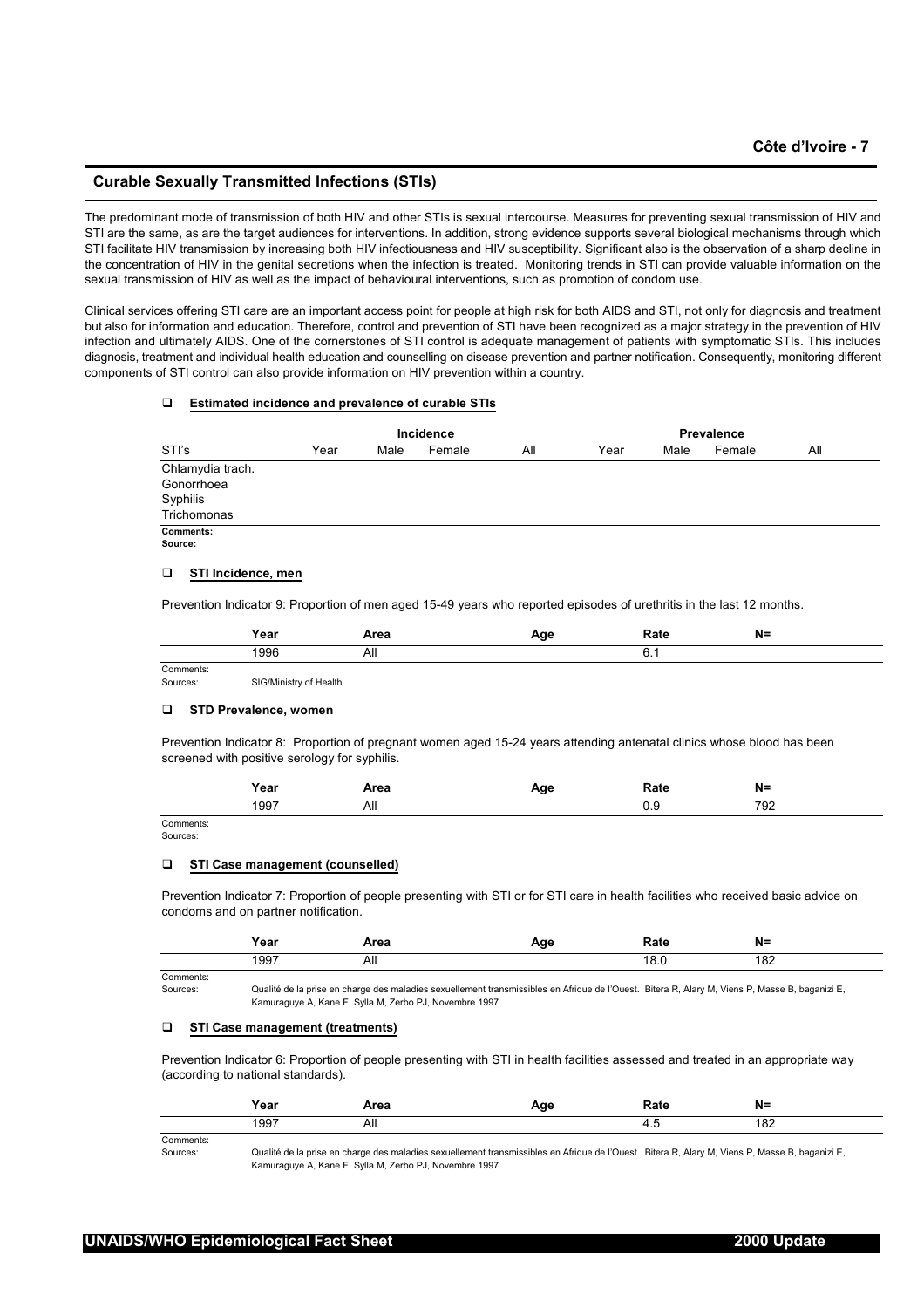# **Curable Sexually Transmitted Infections (STIs)**

The predominant mode of transmission of both HIV and other STIs is sexual intercourse. Measures for preventing sexual transmission of HIV and STI are the same, as are the target audiences for interventions. In addition, strong evidence supports several biological mechanisms through which STI facilitate HIV transmission by increasing both HIV infectiousness and HIV susceptibility. Significant also is the observation of a sharp decline in the concentration of HIV in the genital secretions when the infection is treated. Monitoring trends in STI can provide valuable information on the sexual transmission of HIV as well as the impact of behavioural interventions, such as promotion of condom use.

Clinical services offering STI care are an important access point for people at high risk for both AIDS and STI, not only for diagnosis and treatment but also for information and education. Therefore, control and prevention of STI have been recognized as a major strategy in the prevention of HIV infection and ultimately AIDS. One of the cornerstones of STI control is adequate management of patients with symptomatic STIs. This includes diagnosis, treatment and individual health education and counselling on disease prevention and partner notification. Consequently, monitoring different components of STI control can also provide information on HIV prevention within a country.

#### **Estimated incidence and prevalence of curable STIs**

|                  |      | Incidence |        | Prevalence |      |      |        |     |  |
|------------------|------|-----------|--------|------------|------|------|--------|-----|--|
| STI's            | Year | Male      | Female | All        | Year | Male | Female | All |  |
| Chlamydia trach. |      |           |        |            |      |      |        |     |  |
| Gonorrhoea       |      |           |        |            |      |      |        |     |  |
| Syphilis         |      |           |        |            |      |      |        |     |  |
| Trichomonas      |      |           |        |            |      |      |        |     |  |
| Comments:        |      |           |        |            |      |      |        |     |  |
| Source:          |      |           |        |            |      |      |        |     |  |

#### **STI Incidence, men**

Prevention Indicator 9: Proportion of men aged 15-49 years who reported episodes of urethritis in the last 12 months.

|           | Year | Area | .պա | Rate  | N= |
|-----------|------|------|-----|-------|----|
|           | 1996 | nıı  |     | ັບ. . |    |
| Comments: |      |      |     |       |    |

Sources: SIG/Ministry of Health

#### **STD Prevalence, women**

Prevention Indicator 8: Proportion of pregnant women aged 15-24 years attending antenatal clinics whose blood has been screened with positive serology for syphilis.

|                            | rear | .<br>AI GA | ---<br>. . | 1916      | $N=$     |
|----------------------------|------|------------|------------|-----------|----------|
|                            | 1997 | ЛII<br>.   |            | <i></i> . | 70c<br>ັ |
| `ommonte<br><b>VALUELE</b> |      |            |            |           |          |

Sources:

#### **STI Case management (counselled)**

Prevention Indicator 7: Proportion of people presenting with STI or for STI care in health facilities who received basic advice on condoms and on partner notification.

|           | rear          | .<br>м еа                   |  | N=               |
|-----------|---------------|-----------------------------|--|------------------|
|           | $100^-$<br>ວວ | וור<br>$\ddot{\phantom{0}}$ |  | $\Omega'$<br>.UZ |
| Comments: |               |                             |  |                  |

Sources: Qualité de la prise en charge des maladies sexuellement transmissibles en Afrique de l'Ouest. Bitera R, Alary M, Viens P, Masse B, baganizi E, Kamuraguye A, Kane F, Sylla M, Zerbo PJ, Novembre 1997

### **STI Case management (treatments)**

Prevention Indicator 6: Proportion of people presenting with STI in health facilities assessed and treated in an appropriate way (according to national standards).

|          | 'oar<br>ι σαι | .<br>Area |                                    | N=<br>. .     |
|----------|---------------|-----------|------------------------------------|---------------|
|          | 1997          | <u>лш</u> | ᠇.៶<br>and the control of the con- | $\sim$<br>10Z |
| Comments |               |           |                                    |               |

Sources: Qualité de la prise en charge des maladies sexuellement transmissibles en Afrique de l'Ouest. Bitera R, Alary M, Viens P, Masse B, baganizi E, Kamuraguye A, Kane F, Sylla M, Zerbo PJ, Novembre 1997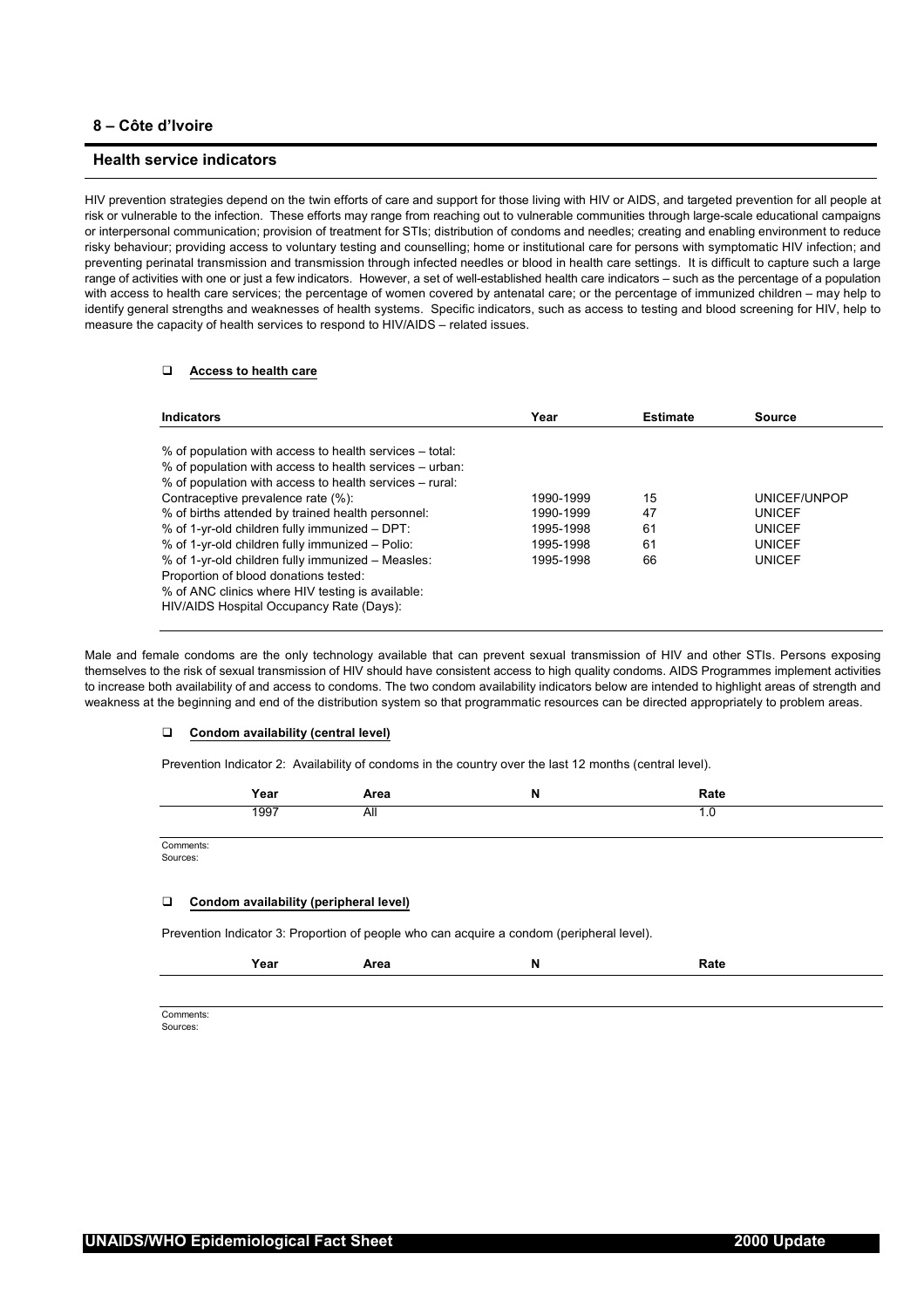# **8 – Côte d'Ivoire**

# **Health service indicators**

HIV prevention strategies depend on the twin efforts of care and support for those living with HIV or AIDS, and targeted prevention for all people at risk or vulnerable to the infection. These efforts may range from reaching out to vulnerable communities through large-scale educational campaigns or interpersonal communication; provision of treatment for STIs; distribution of condoms and needles; creating and enabling environment to reduce risky behaviour; providing access to voluntary testing and counselling; home or institutional care for persons with symptomatic HIV infection; and preventing perinatal transmission and transmission through infected needles or blood in health care settings. It is difficult to capture such a large range of activities with one or just a few indicators. However, a set of well-established health care indicators – such as the percentage of a population with access to health care services; the percentage of women covered by antenatal care; or the percentage of immunized children – may help to identify general strengths and weaknesses of health systems. Specific indicators, such as access to testing and blood screening for HIV, help to measure the capacity of health services to respond to HIV/AIDS – related issues.

# **Access to health care**

| <b>Indicators</b>                                                                                                                                                                                                                                                                                                                                                                                                                                                                                                                                                          | Year                                                          | <b>Estimate</b>            | Source                                                                           |
|----------------------------------------------------------------------------------------------------------------------------------------------------------------------------------------------------------------------------------------------------------------------------------------------------------------------------------------------------------------------------------------------------------------------------------------------------------------------------------------------------------------------------------------------------------------------------|---------------------------------------------------------------|----------------------------|----------------------------------------------------------------------------------|
| % of population with access to health services – total:<br>% of population with access to health services – urban:<br>% of population with access to health services – rural:<br>Contraceptive prevalence rate (%):<br>% of births attended by trained health personnel:<br>% of 1-yr-old children fully immunized - DPT:<br>% of 1-yr-old children fully immunized - Polio:<br>% of 1-yr-old children fully immunized - Measles:<br>Proportion of blood donations tested:<br>% of ANC clinics where HIV testing is available:<br>HIV/AIDS Hospital Occupancy Rate (Days): | 1990-1999<br>1990-1999<br>1995-1998<br>1995-1998<br>1995-1998 | 15<br>47<br>61<br>61<br>66 | UNICEF/UNPOP<br><b>UNICEF</b><br><b>UNICEF</b><br><b>UNICEF</b><br><b>UNICEF</b> |

Male and female condoms are the only technology available that can prevent sexual transmission of HIV and other STIs. Persons exposing themselves to the risk of sexual transmission of HIV should have consistent access to high quality condoms. AIDS Programmes implement activities to increase both availability of and access to condoms. The two condom availability indicators below are intended to highlight areas of strength and weakness at the beginning and end of the distribution system so that programmatic resources can be directed appropriately to problem areas.

#### **Condom availability (central level)**

Prevention Indicator 2: Availability of condoms in the country over the last 12 months (central level).

|           | Year | Area | IN | Rate      |
|-----------|------|------|----|-----------|
|           | 1997 | All  |    | $\cdot$ . |
|           |      |      |    |           |
| Comments: |      |      |    |           |

Sources:

#### **Condom availability (peripheral level)**

Prevention Indicator 3: Proportion of people who can acquire a condom (peripheral level).

| Rate<br>Year<br>Area<br>N<br>------ |
|-------------------------------------|
|-------------------------------------|

Comments: Sources: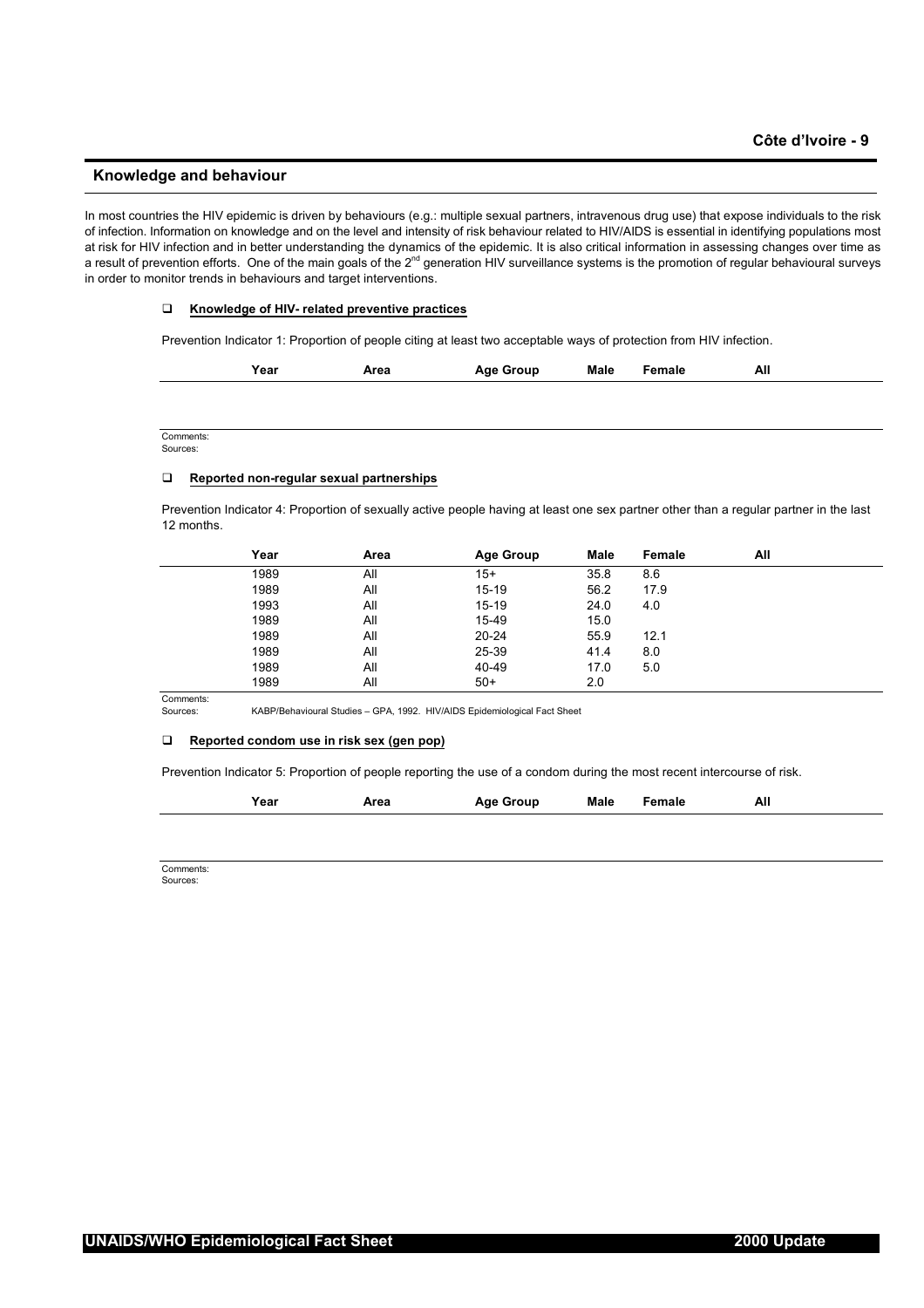### **Knowledge and behaviour**

In most countries the HIV epidemic is driven by behaviours (e.g.: multiple sexual partners, intravenous drug use) that expose individuals to the risk of infection. Information on knowledge and on the level and intensity of risk behaviour related to HIV/AIDS is essential in identifying populations most at risk for HIV infection and in better understanding the dynamics of the epidemic. It is also critical information in assessing changes over time as a result of prevention efforts. One of the main goals of the 2<sup>nd</sup> generation HIV surveillance systems is the promotion of regular behavioural surveys in order to monitor trends in behaviours and target interventions.

#### **Knowledge of HIV- related preventive practices**

Prevention Indicator 1: Proportion of people citing at least two acceptable ways of protection from HIV infection.

| Year | Area | Age Group | Male | Female | All |
|------|------|-----------|------|--------|-----|
|      |      |           |      |        |     |

Comments: Sources:

#### **Reported non-regular sexual partnerships**

Prevention Indicator 4: Proportion of sexually active people having at least one sex partner other than a regular partner in the last 12 months.

| Year | Area | <b>Age Group</b> | <b>Male</b> | Female | All |
|------|------|------------------|-------------|--------|-----|
| 1989 | All  | $15+$            | 35.8        | 8.6    |     |
| 1989 | All  | $15 - 19$        | 56.2        | 17.9   |     |
| 1993 | All  | $15 - 19$        | 24.0        | 4.0    |     |
| 1989 | All  | 15-49            | 15.0        |        |     |
| 1989 | All  | $20 - 24$        | 55.9        | 12.1   |     |
| 1989 | All  | 25-39            | 41.4        | 8.0    |     |
| 1989 | All  | 40-49            | 17.0        | 5.0    |     |
| 1989 | All  | $50+$            | 2.0         |        |     |

Comments:

Sources: KABP/Behavioural Studies – GPA, 1992. HIV/AIDS Epidemiological Fact Sheet

# **Reported condom use in risk sex (gen pop)**

Prevention Indicator 5: Proportion of people reporting the use of a condom during the most recent intercourse of risk.

| Year | Area | <b>Age Group</b> | Male | <sup>∶</sup> emale | All<br>$ -$ |
|------|------|------------------|------|--------------------|-------------|
|      |      |                  |      |                    |             |

Comments: Sources: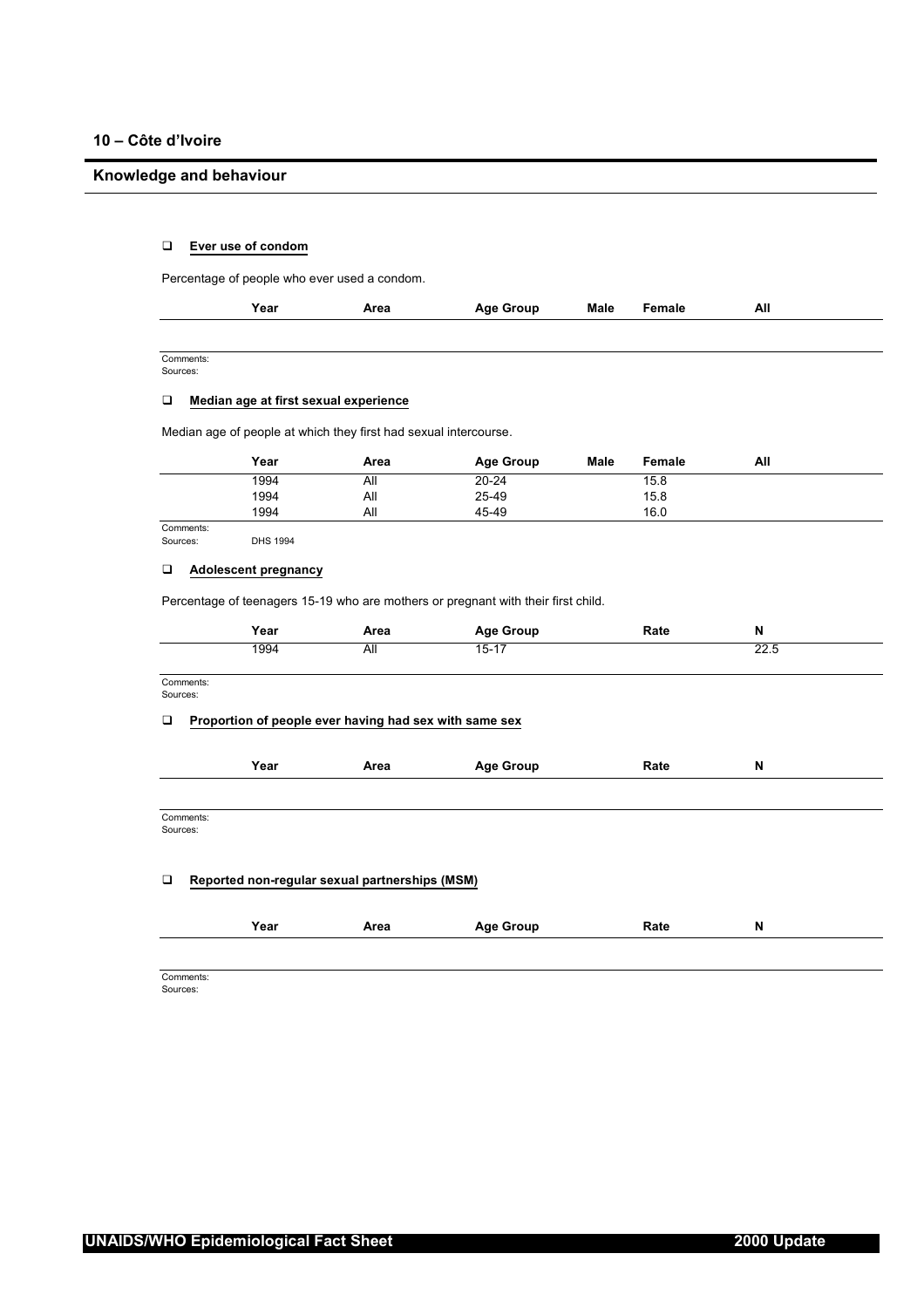# **Knowledge and behaviour**

# **Ever use of condom**

Percentage of people who ever used a condom.

| Year | Area | <b>Age Group</b> | Male | Female<br>. | All |
|------|------|------------------|------|-------------|-----|
|      |      |                  |      |             |     |

Comments: Sources:

 $\overline{a}$ 

# **Median age at first sexual experience**

Median age of people at which they first had sexual intercourse.

|        | Year | Area | Age Group | <b>Male</b> | Female | All |  |
|--------|------|------|-----------|-------------|--------|-----|--|
|        | 1994 | All  | $20 - 24$ |             | 15.8   |     |  |
|        | 1994 | All  | 25-49     |             | 15.8   |     |  |
|        | 1994 | All  | 45-49     |             | 16.0   |     |  |
| $\sim$ |      |      |           |             |        |     |  |

Comments:<br>Sources:

# **Adolescent pregnancy**

DHS 1994

Percentage of teenagers 15-19 who are mothers or pregnant with their first child.

|                       | Year | Area                                                   | <b>Age Group</b> | Rate | N    |  |
|-----------------------|------|--------------------------------------------------------|------------------|------|------|--|
|                       | 1994 | All                                                    | $15 - 17$        |      | 22.5 |  |
| Comments:<br>Sources: |      |                                                        |                  |      |      |  |
| □                     |      | Proportion of people ever having had sex with same sex |                  |      |      |  |
|                       | Year | Area                                                   | <b>Age Group</b> | Rate | N    |  |
|                       |      |                                                        |                  |      |      |  |
| Comments:<br>Sources: |      |                                                        |                  |      |      |  |
|                       |      |                                                        |                  |      |      |  |
| □                     |      | Reported non-regular sexual partnerships (MSM)         |                  |      |      |  |
|                       | Year | Area                                                   | <b>Age Group</b> | Rate | N    |  |
|                       |      |                                                        |                  |      |      |  |

Comments: Sources: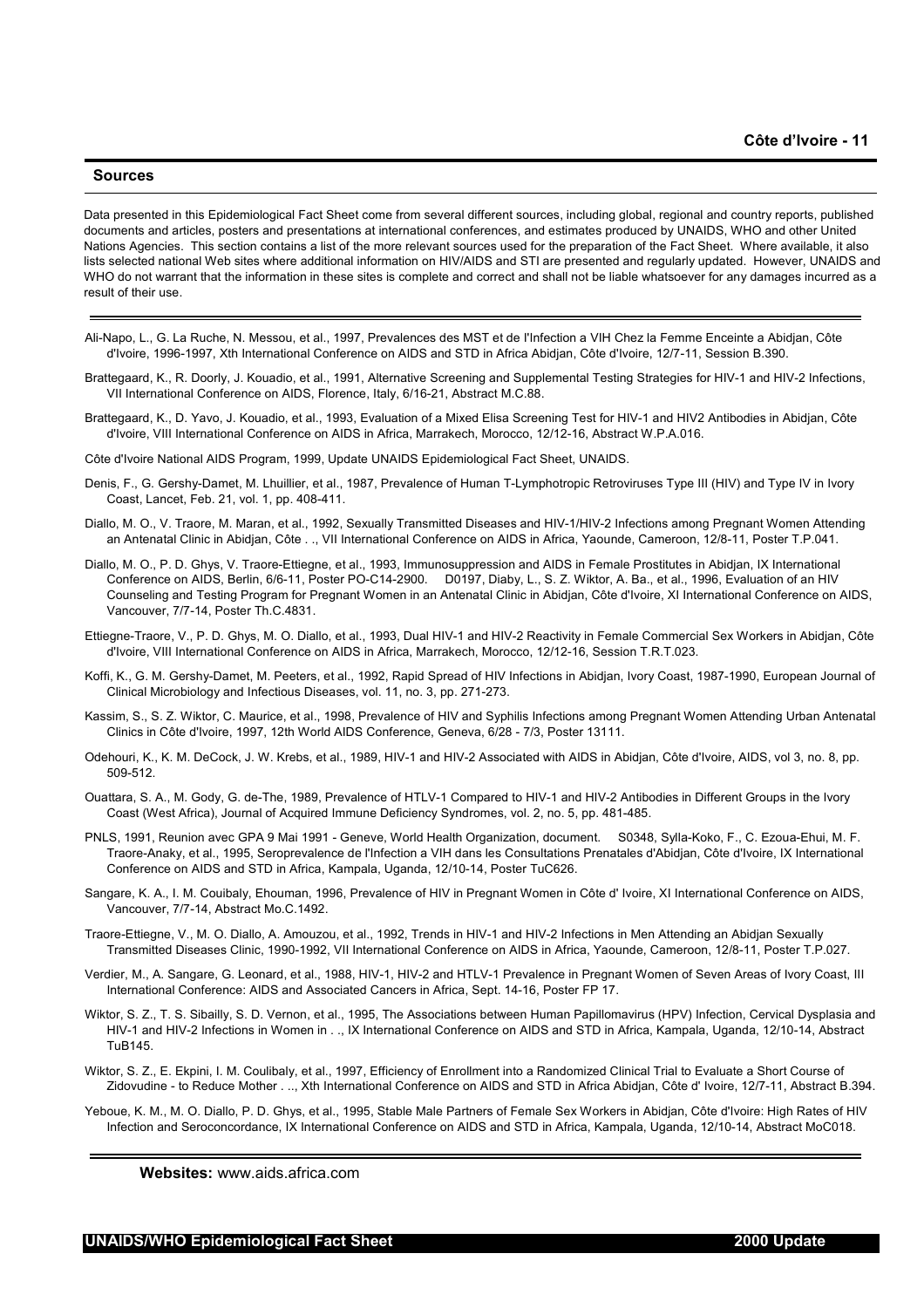#### **Sources**

Data presented in this Epidemiological Fact Sheet come from several different sources, including global, regional and country reports, published documents and articles, posters and presentations at international conferences, and estimates produced by UNAIDS, WHO and other United Nations Agencies. This section contains a list of the more relevant sources used for the preparation of the Fact Sheet. Where available, it also lists selected national Web sites where additional information on HIV/AIDS and STI are presented and regularly updated. However, UNAIDS and WHO do not warrant that the information in these sites is complete and correct and shall not be liable whatsoever for any damages incurred as a result of their use.

- Ali-Napo, L., G. La Ruche, N. Messou, et al., 1997, Prevalences des MST et de I'Infection a VIH Chez la Femme Enceinte a Abidjan, Côte d'Ivoire, 1996-1997, Xth International Conference on AIDS and STD in Africa Abidjan, Côte d'Ivoire, 12/7-11, Session B.390.
- Brattegaard, K., R. Doorly, J. Kouadio, et al., 1991, Alternative Screening and Supplemental Testing Strategies for HIV-1 and HIV-2 Infections, VII International Conference on AIDS, Florence, Italy, 6/16-21, Abstract M.C.88.
- Brattegaard, K., D. Yavo, J. Kouadio, et al., 1993, Evaluation of a Mixed Elisa Screening Test for HIV-1 and HIV2 Antibodies in Abidjan, Côte d'Ivoire, VIII International Conference on AIDS in Africa, Marrakech, Morocco, 12/12-16, Abstract W.P.A.016.

Côte d'Ivoire National AIDS Program, 1999, Update UNAIDS Epidemiological Fact Sheet, UNAIDS.

- Denis, F., G. Gershy-Damet, M. Lhuillier, et al., 1987, Prevalence of Human T-Lymphotropic Retroviruses Type III (HIV) and Type IV in Ivory Coast, Lancet, Feb. 21, vol. 1, pp. 408-411.
- Diallo, M. O., V. Traore, M. Maran, et al., 1992, Sexually Transmitted Diseases and HIV-1/HIV-2 Infections among Pregnant Women Attending an Antenatal Clinic in Abidjan, Côte . ., VII International Conference on AIDS in Africa, Yaounde, Cameroon, 12/8-11, Poster T.P.041.
- Diallo, M. O., P. D. Ghys, V. Traore-Ettiegne, et al., 1993, Immunosuppression and AIDS in Female Prostitutes in Abidjan, IX International Conference on AIDS, Berlin, 6/6-11, Poster PO-C14-2900. D0197, Diaby, L., S. Z. Wiktor, A. Ba., et al., 1996, Evaluation of an HIV Counseling and Testing Program for Pregnant Women in an Antenatal Clinic in Abidjan, Côte d'Ivoire, XI International Conference on AIDS, Vancouver, 7/7-14, Poster Th.C.4831.
- Ettiegne-Traore, V., P. D. Ghys, M. O. Diallo, et al., 1993, Dual HIV-1 and HIV-2 Reactivity in Female Commercial Sex Workers in Abidjan, Côte d'Ivoire, VIII International Conference on AIDS in Africa, Marrakech, Morocco, 12/12-16, Session T.R.T.023.
- Koffi, K., G. M. Gershy-Damet, M. Peeters, et al., 1992, Rapid Spread of HIV Infections in Abidjan, Ivory Coast, 1987-1990, European Journal of Clinical Microbiology and Infectious Diseases, vol. 11, no. 3, pp. 271-273.
- Kassim, S., S. Z. Wiktor, C. Maurice, et al., 1998, Prevalence of HIV and Syphilis Infections among Pregnant Women Attending Urban Antenatal Clinics in Côte d'Ivoire, 1997, 12th World AIDS Conference, Geneva, 6/28 - 7/3, Poster 13111.
- Odehouri, K., K. M. DeCock, J. W. Krebs, et al., 1989, HIV-1 and HIV-2 Associated with AIDS in Abidjan, Côte d'Ivoire, AIDS, vol 3, no. 8, pp. 509-512.
- Ouattara, S. A., M. Gody, G. de-The, 1989, Prevalence of HTLV-1 Compared to HIV-1 and HIV-2 Antibodies in Different Groups in the Ivory Coast (West Africa), Journal of Acquired Immune Deficiency Syndromes, vol. 2, no. 5, pp. 481-485.
- PNLS, 1991, Reunion avec GPA 9 Mai 1991 Geneve, World Health Organization, document. S0348, Sylla-Koko, F., C. Ezoua-Ehui, M. F. Traore-Anaky, et al., 1995, Seroprevalence de l'Infection a VIH dans les Consultations Prenatales d'Abidjan, Côte d'Ivoire, IX International Conference on AIDS and STD in Africa, Kampala, Uganda, 12/10-14, Poster TuC626.
- Sangare, K. A., I. M. Couibaly, Ehouman, 1996, Prevalence of HIV in Pregnant Women in Côte d' Ivoire, XI International Conference on AIDS, Vancouver, 7/7-14, Abstract Mo.C.1492.
- Traore-Ettiegne, V., M. O. Diallo, A. Amouzou, et al., 1992, Trends in HIV-1 and HIV-2 Infections in Men Attending an Abidjan Sexually Transmitted Diseases Clinic, 1990-1992, VII International Conference on AIDS in Africa, Yaounde, Cameroon, 12/8-11, Poster T.P.027.
- Verdier, M., A. Sangare, G. Leonard, et al., 1988, HIV-1, HIV-2 and HTLV-1 Prevalence in Pregnant Women of Seven Areas of Ivory Coast, III International Conference: AIDS and Associated Cancers in Africa, Sept. 14-16, Poster FP 17.
- Wiktor, S. Z., T. S. Sibailly, S. D. Vernon, et al., 1995, The Associations between Human Papillomavirus (HPV) Infection, Cervical Dysplasia and HIV-1 and HIV-2 Infections in Women in . ., IX International Conference on AIDS and STD in Africa, Kampala, Uganda, 12/10-14, Abstract TuB145.
- Wiktor, S. Z., E. Ekpini, I. M. Coulibaly, et al., 1997, Efficiency of Enrollment into a Randomized Clinical Trial to Evaluate a Short Course of Zidovudine - to Reduce Mother . .., Xth International Conference on AIDS and STD in Africa Abidjan, Côte d' Ivoire, 12/7-11, Abstract B.394.
- Yeboue, K. M., M. O. Diallo, P. D. Ghys, et al., 1995, Stable Male Partners of Female Sex Workers in Abidjan, Côte d'Ivoire: High Rates of HIV Infection and Seroconcordance, IX International Conference on AIDS and STD in Africa, Kampala, Uganda, 12/10-14, Abstract MoC018.

**Websites:** www.aids.africa.com